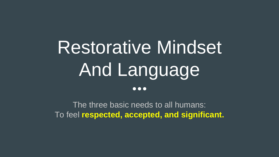# Restorative Mindset And Language  $\bullet$  $\bullet$  $\bullet$

The three basic needs to all humans: To feel **respected, accepted, and significant.**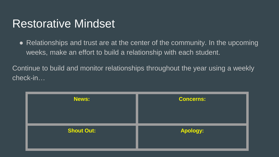### Restorative Mindset

• Relationships and trust are at the center of the community. In the upcoming weeks, make an effort to build a relationship with each student.

Continue to build and monitor relationships throughout the year using a weekly check-in…

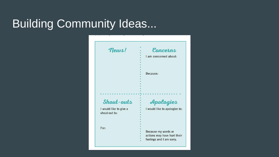### Building Community Ideas...

| news!                                   | Concerns                      |
|-----------------------------------------|-------------------------------|
|                                         | I am concerned about:         |
|                                         | Because:                      |
| Shout-outs                              | Apologies                     |
| I would like to give a<br>shout-out to: | I would like to apologize to: |
| For:                                    | Because my words or           |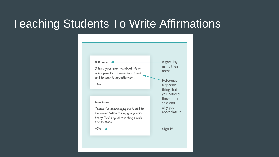### Teaching Students To Write Affirmations

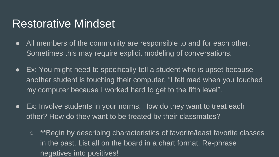### Restorative Mindset

- All members of the community are responsible to and for each other. Sometimes this may require explicit modeling of conversations.
- Ex: You might need to specifically tell a student who is upset because another student is touching their computer. "I felt mad when you touched my computer because I worked hard to get to the fifth level".
- Ex: Involve students in your norms. How do they want to treat each other? How do they want to be treated by their classmates?
	- \*\*Begin by describing characteristics of favorite/least favorite classes in the past. List all on the board in a chart format. Re-phrase negatives into positives!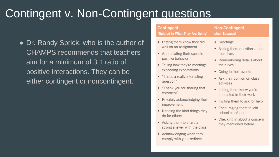## Contingent v. Non-Contingent questions

• Dr. Randy Sprick, who is the author of CHAMPS recommends that teachers aim for a minimum of 3:1 ratio of positive interactions. They can be either contingent or noncontingent.

### **Contingent** (Related to What They Are Doing) • Letting them know they did well on an assignment • Appreciating their specific positive behavior • Telling how they're meeting/ exceeding expectations • "That's a really interesting

- question" • "Thank you for sharing that
- comment"
- Privately acknowledging their improvement
- Noticing the kind things they do for others
- Asking them to share a strong answer with the class
- Acknowledging when they comply with your redirect

### **Non-Contingent** (Just Because)

- Greetings
- Asking them questions about their lives
- Remembering details about their lives
- Going to their events
- Ask their opinion on class activities
- Letting them know you're interested in their work
- Inviting them to ask for help
- Encouraging them to join school club/sports
- Checking in about a concern they mentioned before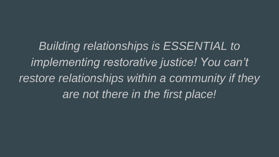*Building relationships is ESSENTIAL to implementing restorative justice! You can't restore relationships within a community if they are not there in the first place!*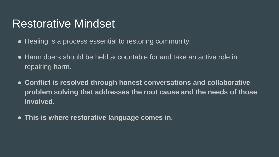### Restorative Mindset

- Healing is a process essential to restoring community.
- Harm doers should be held accountable for and take an active role in repairing harm.
- **Conflict is resolved through honest conversations and collaborative problem solving that addresses the root cause and the needs of those involved.**
- **This is where restorative language comes in.**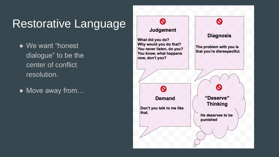## Restorative Language

- We want "honest dialogue" to be the center of conflict resolution.
- Move away from...

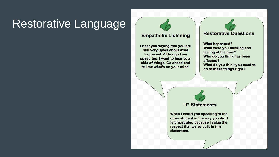### Restorative Language

### **Empathetic Listening**

I hear you saving that you are still very upset about what happened. Although I am upset, too, I want to hear your side of things. Go ahead and tell me what's on your mind.

### **Restorative Questions**

**What happened?** What were you thinking and feeling at the time? Who do you think has been affected? What do you think you need to do to make things right?



When I heard you speaking to the other student in the way you did, I felt frustrated because I value the respect that we've built in this classroom.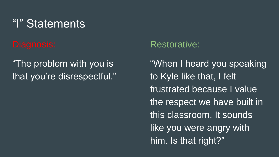### "I" Statements

### "The problem with you is that you're disrespectful."

### Restorative:

"When I heard you speaking to Kyle like that, I felt frustrated because I value the respect we have built in this classroom. It sounds like you were angry with him. Is that right?"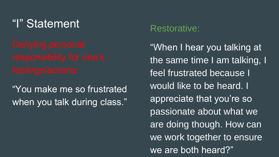### "I" Statement

"You make me so frustrated when you talk during class."

### Restorative:

"When I hear you talking at the same time I am talking, I feel frustrated because I would like to be heard. I appreciate that you're so passionate about what we are doing though. How can we work together to ensure we are both heard?"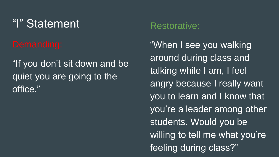### "I" Statement

"If you don't sit down and be quiet you are going to the office."

### Restorative:

"When I see you walking around during class and talking while I am, I feel angry because I really want you to learn and I know that you're a leader among other students. Would you be willing to tell me what you're feeling during class?"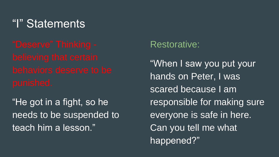### "I" Statements

"He got in a fight, so he needs to be suspended to teach him a lesson."

### Restorative:

"When I saw you put your hands on Peter, I was scared because I am responsible for making sure everyone is safe in here. Can you tell me what happened?"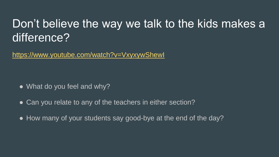### Don't believe the way we talk to the kids makes a difference?

<https://www.youtube.com/watch?v=VxyxywShewI>

- What do you feel and why?
- Can you relate to any of the teachers in either section?
- How many of your students say good-bye at the end of the day?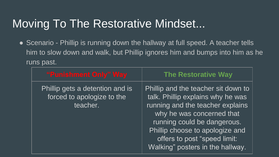## Moving To The Restorative Mindset...

• Scenario - Phillip is running down the hallway at full speed. A teacher tells him to slow down and walk, but Phillip ignores him and bumps into him as he runs past.

| "Punishment Only" Way                                                     | <b>The Restorative Way</b>                                                                                                                                                                                                                                                      |
|---------------------------------------------------------------------------|---------------------------------------------------------------------------------------------------------------------------------------------------------------------------------------------------------------------------------------------------------------------------------|
| Phillip gets a detention and is<br>forced to apologize to the<br>teacher. | Phillip and the teacher sit down to<br>talk. Phillip explains why he was<br>running and the teacher explains<br>why he was concerned that<br>running could be dangerous.<br>Phillip choose to apologize and<br>offers to post "speed limit:<br>Walking" posters in the hallway. |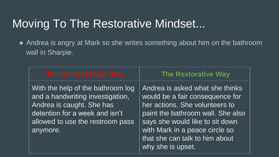### Moving To The Restorative Mindset...

• Andrea is angry at Mark so she writes something about him on the bathroom wall in Sharpie.

| "Punishment Only" Way                                                                                                                                                                | <b>The Restorative Way</b>                                                                                                                                                                                                                                            |
|--------------------------------------------------------------------------------------------------------------------------------------------------------------------------------------|-----------------------------------------------------------------------------------------------------------------------------------------------------------------------------------------------------------------------------------------------------------------------|
| With the help of the bathroom log<br>and a handwriting investigation,<br>Andrea is caught. She has<br>detention for a week and isn't<br>allowed to use the restroom pass<br>anymore. | Andrea is asked what she thinks<br>would be a fair consequence for<br>her actions. She volunteers to<br>paint the bathroom wall. She also<br>says she would like to sit down<br>with Mark in a peace circle so<br>that she can talk to him about<br>why she is upset. |